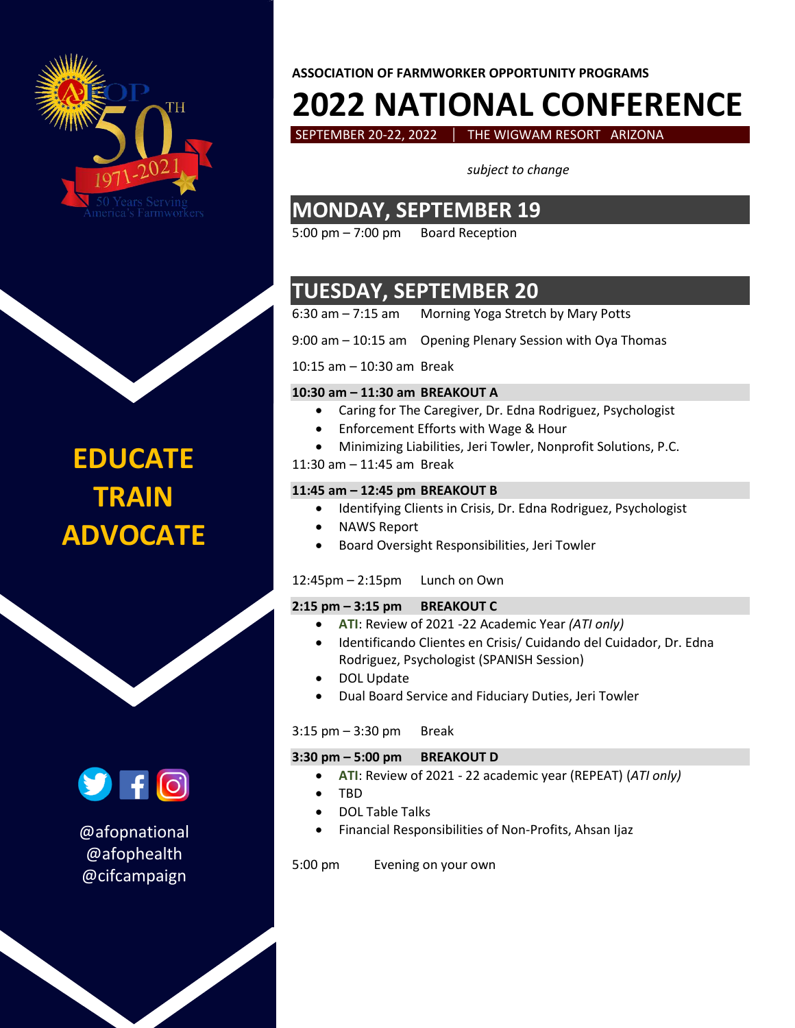

# **EDUCATE TRAIN ADVOCATE**



@afopnational @afophealth @cifcampaign

### **ASSOCIATION OF FARMWORKER OPPORTUNITY PROGRAMS**

# **2022 NATIONAL CONFERENCE**

SEPTEMBER 20-22, 2022 | THE WIGWAM RESORT ARIZONA

*subject to change*

### **MONDAY, SEPTEMBER 19**

5:00 pm – 7:00 pm Board Reception

## **TUESDAY, SEPTEMBER 20**

6:30 am – 7:15 am Morning Yoga Stretch by Mary Potts

9:00 am – 10:15 am Opening Plenary Session with Oya Thomas

### 10:15 am – 10:30 am Break

### **10:30 am – 11:30 am BREAKOUT A**

- Caring for The Caregiver, Dr. Edna Rodriguez, Psychologist
- Enforcement Efforts with Wage & Hour
- Minimizing Liabilities, Jeri Towler, Nonprofit Solutions, P.C.
- 11:30 am 11:45 am Break

### **11:45 am – 12:45 pm BREAKOUT B**

- Identifying Clients in Crisis, Dr. Edna Rodriguez, Psychologist
- NAWS Report
- Board Oversight Responsibilities, Jeri Towler

### 12:45pm – 2:15pm Lunch on Own

### **2:15 pm – 3:15 pm BREAKOUT C**

- **ATI**: Review of 2021 -22 Academic Year *(ATI only)*
- Identificando Clientes en Crisis/ Cuidando del Cuidador, Dr. Edna Rodriguez, Psychologist (SPANISH Session)
- DOL Update
- Dual Board Service and Fiduciary Duties, Jeri Towler

### $3:15$  pm  $-3:30$  pm Break

### **3:30 pm – 5:00 pm BREAKOUT D**

- **ATI**: Review of 2021 22 academic year (REPEAT) (*ATI only)*
- TBD
- DOL Table Talks
- Financial Responsibilities of Non-Profits, Ahsan Ijaz

5:00 pm Evening on your own